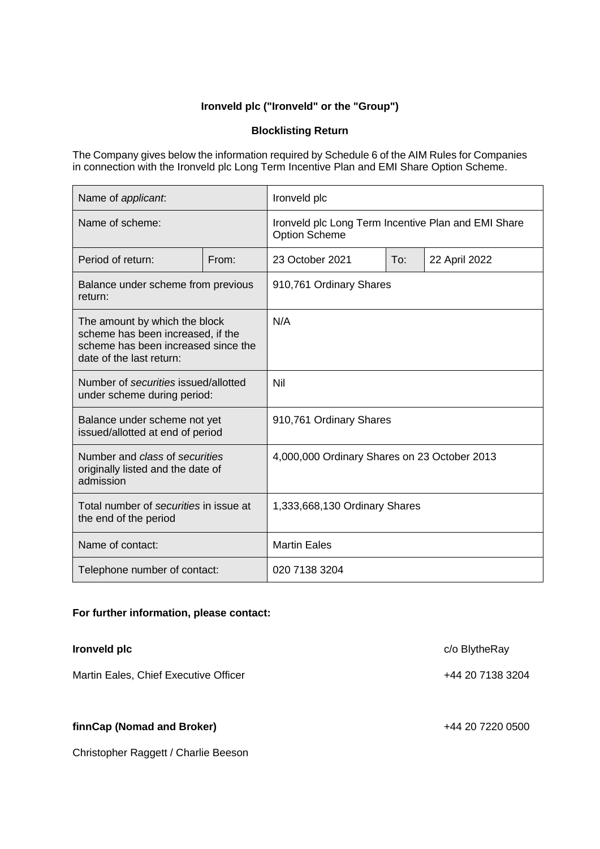## **Ironveld plc ("Ironveld" or the "Group")**

## **Blocklisting Return**

The Company gives below the information required by Schedule 6 of the AIM Rules for Companies in connection with the Ironveld plc Long Term Incentive Plan and EMI Share Option Scheme.

| Name of applicant.                                                                                                                    |       | Ironveld plc                                                                |     |               |
|---------------------------------------------------------------------------------------------------------------------------------------|-------|-----------------------------------------------------------------------------|-----|---------------|
| Name of scheme:                                                                                                                       |       | Ironveld plc Long Term Incentive Plan and EMI Share<br><b>Option Scheme</b> |     |               |
| Period of return:                                                                                                                     | From: | 23 October 2021                                                             | To: | 22 April 2022 |
| Balance under scheme from previous<br>return:                                                                                         |       | 910,761 Ordinary Shares                                                     |     |               |
| The amount by which the block<br>scheme has been increased, if the<br>scheme has been increased since the<br>date of the last return: |       | N/A                                                                         |     |               |
| Number of securities issued/allotted<br>under scheme during period:                                                                   |       | Nil                                                                         |     |               |
| Balance under scheme not yet<br>issued/allotted at end of period                                                                      |       | 910,761 Ordinary Shares                                                     |     |               |
| Number and class of securities<br>originally listed and the date of<br>admission                                                      |       | 4,000,000 Ordinary Shares on 23 October 2013                                |     |               |
| Total number of securities in issue at<br>the end of the period                                                                       |       | 1,333,668,130 Ordinary Shares                                               |     |               |
| Name of contact:                                                                                                                      |       | <b>Martin Eales</b>                                                         |     |               |
| Telephone number of contact:                                                                                                          |       | 020 7138 3204                                                               |     |               |

## **For further information, please contact:**

| Ironveld plc                          | c/o BlytheRay    |
|---------------------------------------|------------------|
| Martin Eales, Chief Executive Officer | +44 20 7138 3204 |
| finnCap (Nomad and Broker)            | +44 20 7220 0500 |
| Christopher Raggett / Charlie Beeson  |                  |